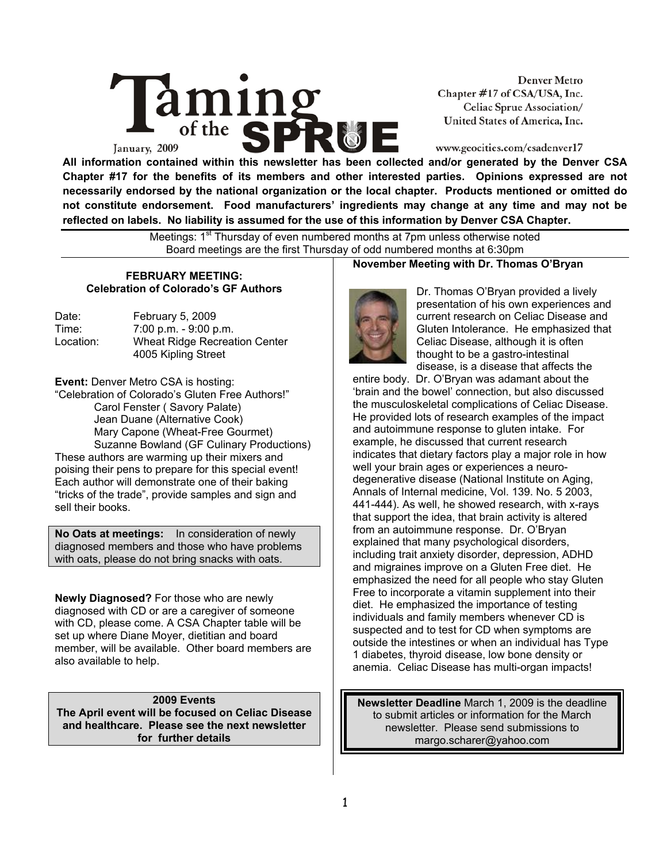

**Denver Metro** Chapter #17 of CSA/USA, Inc. Celiac Sprue Association/ United States of America, Inc.

## www.geocities.com/csadenver17

**All information contained within this newsletter has been collected and/or generated by the Denver CSA Chapter #17 for the benefits of its members and other interested parties. Opinions expressed are not necessarily endorsed by the national organization or the local chapter. Products mentioned or omitted do not constitute endorsement. Food manufacturers' ingredients may change at any time and may not be reflected on labels. No liability is assumed for the use of this information by Denver CSA Chapter.** 

> Meetings: 1<sup>st</sup> Thursday of even numbered months at 7pm unless otherwise noted Board meetings are the first Thursday of odd numbered months at 6:30pm

#### **FEBRUARY MEETING: Celebration of Colorado's GF Authors**

| Date:     | February 5, 2009                     |
|-----------|--------------------------------------|
| Time:     | $7:00$ p.m. $-9:00$ p.m.             |
| Location: | <b>Wheat Ridge Recreation Center</b> |
|           | 4005 Kipling Street                  |

**Event:** Denver Metro CSA is hosting:

"Celebration of Colorado's Gluten Free Authors!" Carol Fenster ( Savory Palate) Jean Duane (Alternative Cook) Mary Capone (Wheat-Free Gourmet) Suzanne Bowland (GF Culinary Productions) These authors are warming up their mixers and poising their pens to prepare for this special event! Each author will demonstrate one of their baking "tricks of the trade", provide samples and sign and sell their books.

**No Oats at meetings:** In consideration of newly diagnosed members and those who have problems with oats, please do not bring snacks with oats.

**Newly Diagnosed?** For those who are newly diagnosed with CD or are a caregiver of someone with CD, please come. A CSA Chapter table will be set up where Diane Moyer, dietitian and board member, will be available. Other board members are also available to help.

**2009 Events The April event will be focused on Celiac Disease and healthcare. Please see the next newsletter for further details** 

#### **November Meeting with Dr. Thomas O'Bryan**



Dr. Thomas O'Bryan provided a lively presentation of his own experiences and current research on Celiac Disease and Gluten Intolerance. He emphasized that Celiac Disease, although it is often thought to be a gastro-intestinal disease, is a disease that affects the

entire body. Dr. O'Bryan was adamant about the 'brain and the bowel' connection, but also discussed the musculoskeletal complications of Celiac Disease. He provided lots of research examples of the impact and autoimmune response to gluten intake. For example, he discussed that current research indicates that dietary factors play a major role in how well your brain ages or experiences a neurodegenerative disease (National Institute on Aging, Annals of Internal medicine, Vol. 139. No. 5 2003, 441-444). As well, he showed research, with x-rays that support the idea, that brain activity is altered from an autoimmune response. Dr. O'Bryan explained that many psychological disorders, including trait anxiety disorder, depression, ADHD and migraines improve on a Gluten Free diet. He emphasized the need for all people who stay Gluten Free to incorporate a vitamin supplement into their diet. He emphasized the importance of testing individuals and family members whenever CD is suspected and to test for CD when symptoms are outside the intestines or when an individual has Type 1 diabetes, thyroid disease, low bone density or anemia. Celiac Disease has multi-organ impacts!

**Newsletter Deadline** March 1, 2009 is the deadline to submit articles or information for the March newsletter. Please send submissions to margo.scharer@yahoo.com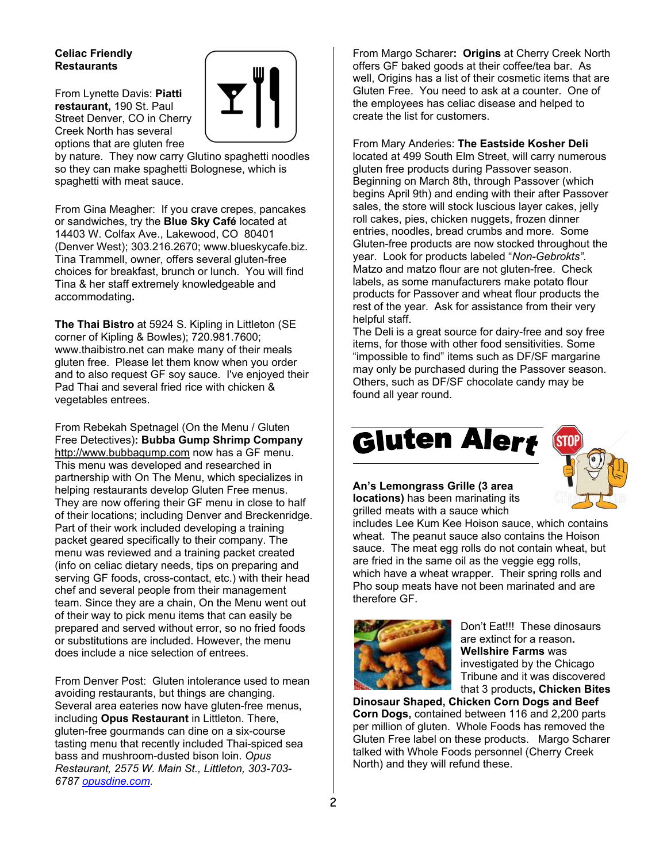## **Celiac Friendly Restaurants**

From Lynette Davis: **Piatti restaurant,** 190 St. Paul Street Denver, CO in Cherry Creek North has several options that are gluten free



by nature. They now carry Glutino spaghetti noodles so they can make spaghetti Bolognese, which is spaghetti with meat sauce.

From Gina Meagher:If you crave crepes, pancakes or sandwiches, try the **Blue Sky Café** located at 14403 W. Colfax Ave., Lakewood, CO 80401 (Denver West); 303.216.2670; www.blueskycafe.biz. Tina Trammell, owner, offers several gluten-free choices for breakfast, brunch or lunch. You will find Tina & her staff extremely knowledgeable and accommodating**.** 

**The Thai Bistro** at 5924 S. Kipling in Littleton (SE corner of Kipling & Bowles); 720.981.7600; www.thaibistro.net can make many of their meals gluten free. Please let them know when you order and to also request GF soy sauce. I've enjoyed their Pad Thai and several fried rice with chicken & vegetables entrees.

From Rebekah Spetnagel (On the Menu / Gluten Free Detectives)**: Bubba Gump Shrimp Company** http://www.bubbagump.com now has a GF menu. This menu was developed and researched in partnership with On The Menu, which specializes in helping restaurants develop Gluten Free menus. They are now offering their GF menu in close to half of their locations; including Denver and Breckenridge. Part of their work included developing a training packet geared specifically to their company. The menu was reviewed and a training packet created (info on celiac dietary needs, tips on preparing and serving GF foods, cross-contact, etc.) with their head chef and several people from their management team. Since they are a chain, On the Menu went out of their way to pick menu items that can easily be prepared and served without error, so no fried foods or substitutions are included. However, the menu does include a nice selection of entrees.

From Denver Post: Gluten intolerance used to mean avoiding restaurants, but things are changing. Several area eateries now have gluten-free menus, including **Opus Restaurant** in Littleton. There, gluten-free gourmands can dine on a six-course tasting menu that recently included Thai-spiced sea bass and mushroom-dusted bison loin. *Opus Restaurant, 2575 W. Main St., Littleton, 303-703- 6787 opusdine.com.*

From Margo Scharer**: Origins** at Cherry Creek North offers GF baked goods at their coffee/tea bar. As well, Origins has a list of their cosmetic items that are Gluten Free. You need to ask at a counter. One of the employees has celiac disease and helped to create the list for customers.

From Mary Anderies: **The Eastside Kosher Deli** located at 499 South Elm Street, will carry numerous gluten free products during Passover season. Beginning on March 8th, through Passover (which begins April 9th) and ending with their after Passover sales, the store will stock luscious layer cakes, jelly roll cakes, pies, chicken nuggets, frozen dinner entries, noodles, bread crumbs and more. Some Gluten-free products are now stocked throughout the year. Look for products labeled "*Non-Gebrokts".* Matzo and matzo flour are not gluten-free. Check labels, as some manufacturers make potato flour products for Passover and wheat flour products the rest of the year. Ask for assistance from their very helpful staff.

The Deli is a great source for dairy-free and soy free items, for those with other food sensitivities. Some "impossible to find" items such as DF/SF margarine may only be purchased during the Passover season. Others, such as DF/SF chocolate candy may be found all year round.

# Gluten Alert



**An's Lemongrass Grille (3 area locations)** has been marinating its grilled meats with a sauce which

includes Lee Kum Kee Hoison sauce, which contains wheat. The peanut sauce also contains the Hoison sauce. The meat egg rolls do not contain wheat, but are fried in the same oil as the veggie egg rolls, which have a wheat wrapper. Their spring rolls and Pho soup meats have not been marinated and are therefore GF.



Don't Eat!!!These dinosaurs are extinct for a reason**. Wellshire Farms** was investigated by the Chicago Tribune and it was discovered that 3 products**, Chicken Bites** 

**Dinosaur Shaped, Chicken Corn Dogs and Beef Corn Dogs,** contained between 116 and 2,200 parts per million of gluten. Whole Foods has removed the Gluten Free label on these products. Margo Scharer talked with Whole Foods personnel (Cherry Creek North) and they will refund these.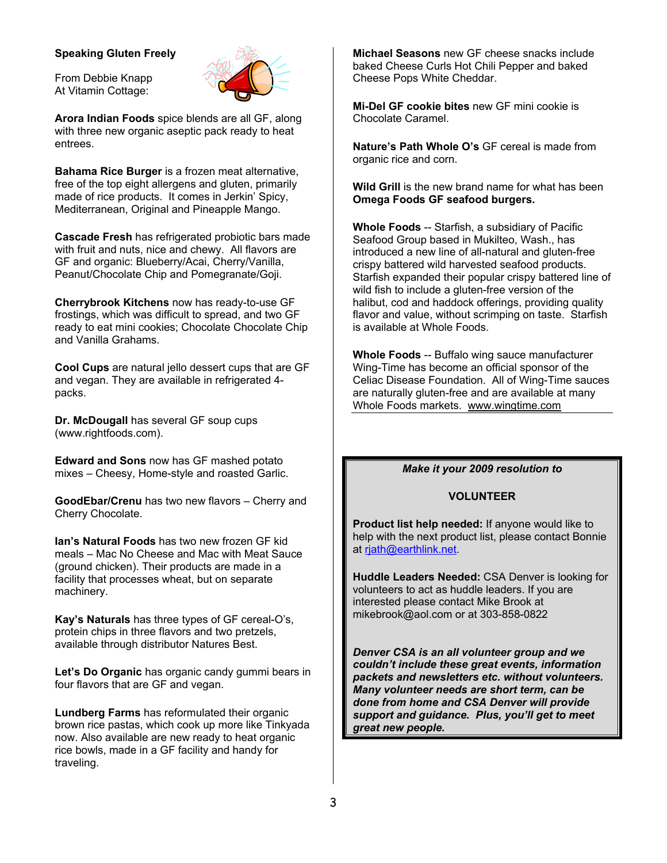#### **Speaking Gluten Freely**

From Debbie Knapp At Vitamin Cottage:

**Arora Indian Foods** spice blends are all GF, along with three new organic aseptic pack ready to heat entrees.

**Bahama Rice Burger** is a frozen meat alternative, free of the top eight allergens and gluten, primarily made of rice products. It comes in Jerkin' Spicy, Mediterranean, Original and Pineapple Mango.

**Cascade Fresh** has refrigerated probiotic bars made with fruit and nuts, nice and chewy. All flavors are GF and organic: Blueberry/Acai, Cherry/Vanilla, Peanut/Chocolate Chip and Pomegranate/Goji.

**Cherrybrook Kitchens** now has ready-to-use GF frostings, which was difficult to spread, and two GF ready to eat mini cookies; Chocolate Chocolate Chip and Vanilla Grahams.

**Cool Cups** are natural jello dessert cups that are GF and vegan. They are available in refrigerated 4 packs.

**Dr. McDougall** has several GF soup cups (www.rightfoods.com).

**Edward and Sons** now has GF mashed potato mixes – Cheesy, Home-style and roasted Garlic.

**GoodEbar/Crenu** has two new flavors – Cherry and Cherry Chocolate.

**Ian's Natural Foods** has two new frozen GF kid meals – Mac No Cheese and Mac with Meat Sauce (ground chicken). Their products are made in a facility that processes wheat, but on separate machinery.

**Kay's Naturals** has three types of GF cereal-O's, protein chips in three flavors and two pretzels, available through distributor Natures Best.

**Let's Do Organic** has organic candy gummi bears in four flavors that are GF and vegan.

**Lundberg Farms** has reformulated their organic brown rice pastas, which cook up more like Tinkyada now. Also available are new ready to heat organic rice bowls, made in a GF facility and handy for traveling.

**Michael Seasons** new GF cheese snacks include baked Cheese Curls Hot Chili Pepper and baked Cheese Pops White Cheddar.

**Mi-Del GF cookie bites** new GF mini cookie is Chocolate Caramel.

**Nature's Path Whole O's** GF cereal is made from organic rice and corn.

**Wild Grill** is the new brand name for what has been **Omega Foods GF seafood burgers.**

**Whole Foods** -- Starfish, a subsidiary of Pacific Seafood Group based in Mukilteo, Wash., has introduced a new line of all-natural and gluten-free crispy battered wild harvested seafood products. Starfish expanded their popular crispy battered line of wild fish to include a gluten-free version of the halibut, cod and haddock offerings, providing quality flavor and value, without scrimping on taste. Starfish is available at Whole Foods.

**Whole Foods** -- Buffalo wing sauce manufacturer Wing-Time has become an official sponsor of the Celiac Disease Foundation. All of Wing-Time sauces are naturally gluten-free and are available at many Whole Foods markets. www.wingtime.com

## *Make it your 2009 resolution to*

#### **VOLUNTEER**

**Product list help needed:** If anyone would like to help with the next product list, please contact Bonnie at rjath@earthlink.net.

**Huddle Leaders Needed:** CSA Denver is looking for volunteers to act as huddle leaders. If you are interested please contact Mike Brook at mikebrook@aol.com or at 303-858-0822

*Denver CSA is an all volunteer group and we couldn't include these great events, information packets and newsletters etc. without volunteers. Many volunteer needs are short term, can be done from home and CSA Denver will provide support and guidance. Plus, you'll get to meet great new people.*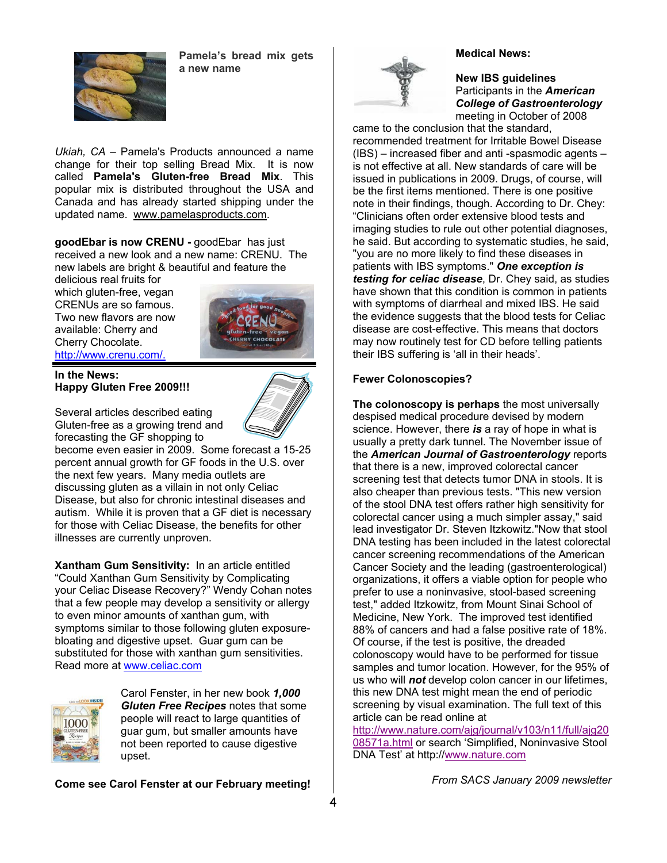

**Pamela's bread mix gets a new name**

*Ukiah, CA* – Pamela's Products announced a name change for their top selling Bread Mix. It is now called **Pamela's Gluten-free Bread Mix**. This popular mix is distributed throughout the USA and Canada and has already started shipping under the updated name. www.pamelasproducts.com.

**goodEbar is now CRENU -** goodEbar has just received a new look and a new name: CRENU. The new labels are bright & beautiful and feature the

delicious real fruits for which gluten-free, vegan CRENUs are so famous. Two new flavors are now available: Cherry and Cherry Chocolate. http://www.crenu.com/.



**In the News:** 

**Happy Gluten Free 2009!!!** 



Several articles described eating Gluten-free as a growing trend and forecasting the GF shopping to

become even easier in 2009. Some forecast a 15-25 percent annual growth for GF foods in the U.S. over the next few years. Many media outlets are discussing gluten as a villain in not only Celiac Disease, but also for chronic intestinal diseases and autism. While it is proven that a GF diet is necessary for those with Celiac Disease, the benefits for other illnesses are currently unproven.

**Xantham Gum Sensitivity:** In an article entitled "Could Xanthan Gum Sensitivity by Complicating your Celiac Disease Recovery?" Wendy Cohan notes that a few people may develop a sensitivity or allergy to even minor amounts of xanthan gum, with symptoms similar to those following gluten exposurebloating and digestive upset. Guar gum can be substituted for those with xanthan gum sensitivities. Read more at www.celiac.com



Carol Fenster, in her new book *1,000 Gluten Free Recipes* notes that some people will react to large quantities of guar gum, but smaller amounts have not been reported to cause digestive upset.

**Come see Carol Fenster at our February meeting!** 





**New IBS guidelines** Participants in the *American College of Gastroenterology*  meeting in October of 2008

came to the conclusion that the standard, recommended treatment for Irritable Bowel Disease (IBS) – increased fiber and anti -spasmodic agents – is not effective at all. New standards of care will be issued in publications in 2009. Drugs, of course, will be the first items mentioned. There is one positive note in their findings, though. According to Dr. Chey: "Clinicians often order extensive blood tests and imaging studies to rule out other potential diagnoses, he said. But according to systematic studies, he said, "you are no more likely to find these diseases in patients with IBS symptoms." *One exception is testing for celiac disease*, Dr. Chey said, as studies have shown that this condition is common in patients with symptoms of diarrheal and mixed IBS. He said the evidence suggests that the blood tests for Celiac disease are cost-effective. This means that doctors may now routinely test for CD before telling patients their IBS suffering is 'all in their heads'.

#### **Fewer Colonoscopies?**

**The colonoscopy is perhaps** the most universally despised medical procedure devised by modern science. However, there *is* a ray of hope in what is usually a pretty dark tunnel. The November issue of the *American Journal of Gastroenterology* reports that there is a new, improved colorectal cancer screening test that detects tumor DNA in stools. It is also cheaper than previous tests. "This new version of the stool DNA test offers rather high sensitivity for colorectal cancer using a much simpler assay," said lead investigator Dr. Steven Itzkowitz."Now that stool DNA testing has been included in the latest colorectal cancer screening recommendations of the American Cancer Society and the leading (gastroenterological) organizations, it offers a viable option for people who prefer to use a noninvasive, stool-based screening test," added Itzkowitz, from Mount Sinai School of Medicine, New York. The improved test identified 88% of cancers and had a false positive rate of 18%. Of course, if the test is positive, the dreaded colonoscopy would have to be performed for tissue samples and tumor location. However, for the 95% of us who will *not* develop colon cancer in our lifetimes, this new DNA test might mean the end of periodic screening by visual examination. The full text of this article can be read online at

http://www.nature.com/ajg/journal/v103/n11/full/ajg20 08571a.html or search 'Simplified, Noninvasive Stool DNA Test' at http://www.nature.com

*From SACS January 2009 newsletter*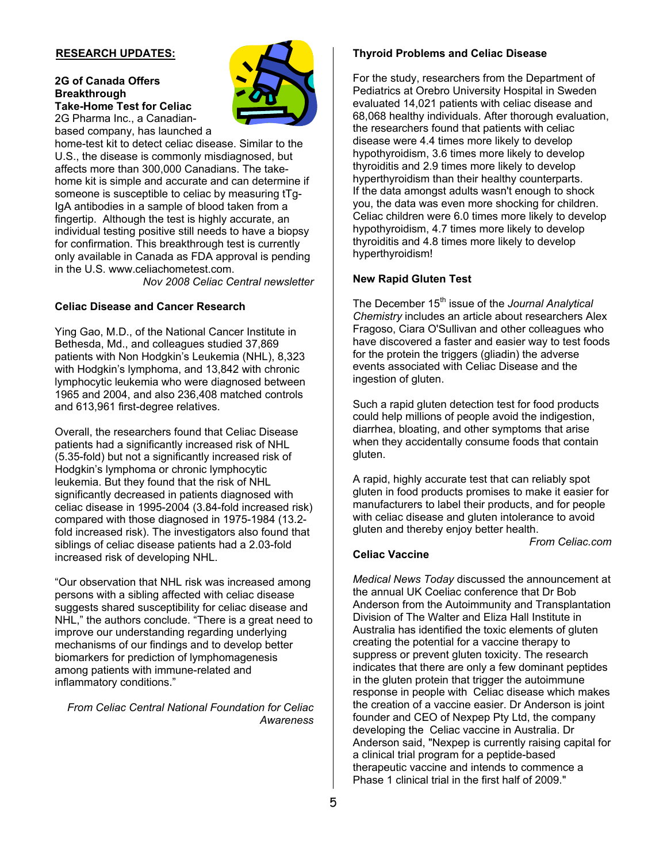#### **RESEARCH UPDATES:**

# **2G of Canada Offers Breakthrough Take-Home Test for Celiac**

2G Pharma Inc., a Canadianbased company, has launched a



home-test kit to detect celiac disease. Similar to the U.S., the disease is commonly misdiagnosed, but affects more than 300,000 Canadians. The takehome kit is simple and accurate and can determine if someone is susceptible to celiac by measuring tTg-IgA antibodies in a sample of blood taken from a fingertip. Although the test is highly accurate, an individual testing positive still needs to have a biopsy for confirmation. This breakthrough test is currently only available in Canada as FDA approval is pending in the U.S. www.celiachometest.com.

*Nov 2008 Celiac Central newsletter* 

#### **Celiac Disease and Cancer Research**

Ying Gao, M.D., of the National Cancer Institute in Bethesda, Md., and colleagues studied 37,869 patients with Non Hodgkin's Leukemia (NHL), 8,323 with Hodgkin's lymphoma, and 13,842 with chronic lymphocytic leukemia who were diagnosed between 1965 and 2004, and also 236,408 matched controls and 613,961 first-degree relatives.

Overall, the researchers found that Celiac Disease patients had a significantly increased risk of NHL (5.35-fold) but not a significantly increased risk of Hodgkin's lymphoma or chronic lymphocytic leukemia. But they found that the risk of NHL significantly decreased in patients diagnosed with celiac disease in 1995-2004 (3.84-fold increased risk) compared with those diagnosed in 1975-1984 (13.2 fold increased risk). The investigators also found that siblings of celiac disease patients had a 2.03-fold increased risk of developing NHL.

"Our observation that NHL risk was increased among persons with a sibling affected with celiac disease suggests shared susceptibility for celiac disease and NHL," the authors conclude. "There is a great need to improve our understanding regarding underlying mechanisms of our findings and to develop better biomarkers for prediction of lymphomagenesis among patients with immune-related and inflammatory conditions."

*From Celiac Central National Foundation for Celiac Awareness*

#### **Thyroid Problems and Celiac Disease**

For the study, researchers from the Department of Pediatrics at Orebro University Hospital in Sweden evaluated 14,021 patients with celiac disease and 68,068 healthy individuals. After thorough evaluation, the researchers found that patients with celiac disease were 4.4 times more likely to develop hypothyroidism, 3.6 times more likely to develop thyroiditis and 2.9 times more likely to develop hyperthyroidism than their healthy counterparts. If the data amongst adults wasn't enough to shock you, the data was even more shocking for children. Celiac children were 6.0 times more likely to develop hypothyroidism, 4.7 times more likely to develop thyroiditis and 4.8 times more likely to develop hyperthyroidism!

#### **New Rapid Gluten Test**

The December 15<sup>th</sup> issue of the *Journal Analytical Chemistry* includes an article about researchers Alex Fragoso, Ciara O'Sullivan and other colleagues who have discovered a faster and easier way to test foods for the protein the triggers (gliadin) the adverse events associated with Celiac Disease and the ingestion of gluten.

Such a rapid gluten detection test for food products could help millions of people avoid the indigestion, diarrhea, bloating, and other symptoms that arise when they accidentally consume foods that contain gluten.

A rapid, highly accurate test that can reliably spot gluten in food products promises to make it easier for manufacturers to label their products, and for people with celiac disease and gluten intolerance to avoid gluten and thereby enjoy better health.

*From Celiac.com*

#### **Celiac Vaccine**

*Medical News Today* discussed the announcement at the annual UK Coeliac conference that Dr Bob Anderson from the Autoimmunity and Transplantation Division of The Walter and Eliza Hall Institute in Australia has identified the toxic elements of gluten creating the potential for a vaccine therapy to suppress or prevent gluten toxicity. The research indicates that there are only a few dominant peptides in the gluten protein that trigger the autoimmune response in people with Celiac disease which makes the creation of a vaccine easier. Dr Anderson is joint founder and CEO of Nexpep Pty Ltd, the company developing the Celiac vaccine in Australia. Dr Anderson said, "Nexpep is currently raising capital for a clinical trial program for a peptide-based therapeutic vaccine and intends to commence a Phase 1 clinical trial in the first half of 2009."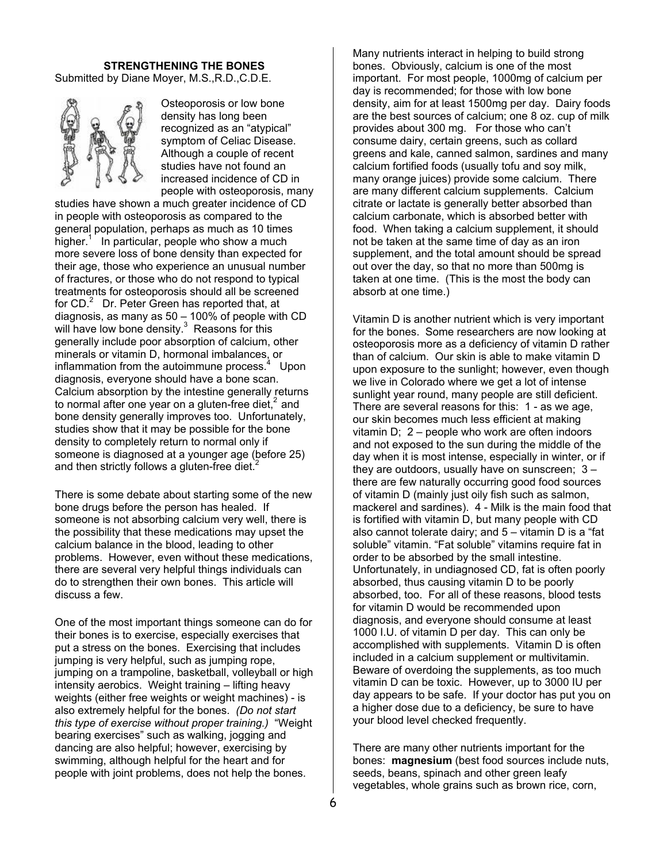#### **STRENGTHENING THE BONES**

Submitted by Diane Moyer, M.S.,R.D.,C.D.E.



Osteoporosis or low bone density has long been recognized as an "atypical" symptom of Celiac Disease. Although a couple of recent studies have not found an increased incidence of CD in people with osteoporosis, many

studies have shown a much greater incidence of CD in people with osteoporosis as compared to the general population, perhaps as much as 10 times higher.<sup>1</sup> In particular, people who show a much more severe loss of bone density than expected for their age, those who experience an unusual number of fractures, or those who do not respond to typical treatments for osteoporosis should all be screened for CD.<sup>2</sup> Dr. Peter Green has reported that, at diagnosis, as many as 50 – 100% of people with CD will have low bone density. $3$  Reasons for this generally include poor absorption of calcium, other minerals or vitamin D, hormonal imbalances, or inflammation from the autoimmune process. $4$  Upon diagnosis, everyone should have a bone scan. Calcium absorption by the intestine generally returns to normal after one year on a gluten-free diet, $<sup>2</sup>$  and</sup> bone density generally improves too. Unfortunately, studies show that it may be possible for the bone density to completely return to normal only if someone is diagnosed at a younger age (before 25) and then strictly follows a gluten-free diet. $2^2$ 

There is some debate about starting some of the new bone drugs before the person has healed. If someone is not absorbing calcium very well, there is the possibility that these medications may upset the calcium balance in the blood, leading to other problems. However, even without these medications, there are several very helpful things individuals can do to strengthen their own bones. This article will discuss a few.

One of the most important things someone can do for their bones is to exercise, especially exercises that put a stress on the bones. Exercising that includes jumping is very helpful, such as jumping rope, jumping on a trampoline, basketball, volleyball or high intensity aerobics. Weight training – lifting heavy weights (either free weights or weight machines) - is also extremely helpful for the bones. *(Do not start this type of exercise without proper training.)* "Weight bearing exercises" such as walking, jogging and dancing are also helpful; however, exercising by swimming, although helpful for the heart and for people with joint problems, does not help the bones.

Many nutrients interact in helping to build strong bones. Obviously, calcium is one of the most important. For most people, 1000mg of calcium per day is recommended; for those with low bone density, aim for at least 1500mg per day. Dairy foods are the best sources of calcium; one 8 oz. cup of milk provides about 300 mg. For those who can't consume dairy, certain greens, such as collard greens and kale, canned salmon, sardines and many calcium fortified foods (usually tofu and soy milk, many orange juices) provide some calcium. There are many different calcium supplements. Calcium citrate or lactate is generally better absorbed than calcium carbonate, which is absorbed better with food. When taking a calcium supplement, it should not be taken at the same time of day as an iron supplement, and the total amount should be spread out over the day, so that no more than 500mg is taken at one time. (This is the most the body can absorb at one time.)

Vitamin D is another nutrient which is very important for the bones. Some researchers are now looking at osteoporosis more as a deficiency of vitamin D rather than of calcium. Our skin is able to make vitamin D upon exposure to the sunlight; however, even though we live in Colorado where we get a lot of intense sunlight year round, many people are still deficient. There are several reasons for this: 1 - as we age, our skin becomes much less efficient at making vitamin D; 2 – people who work are often indoors and not exposed to the sun during the middle of the day when it is most intense, especially in winter, or if they are outdoors, usually have on sunscreen; 3 – there are few naturally occurring good food sources of vitamin D (mainly just oily fish such as salmon, mackerel and sardines). 4 - Milk is the main food that is fortified with vitamin D, but many people with CD also cannot tolerate dairy; and 5 – vitamin D is a "fat soluble" vitamin. "Fat soluble" vitamins require fat in order to be absorbed by the small intestine. Unfortunately, in undiagnosed CD, fat is often poorly absorbed, thus causing vitamin D to be poorly absorbed, too. For all of these reasons, blood tests for vitamin D would be recommended upon diagnosis, and everyone should consume at least 1000 I.U. of vitamin D per day. This can only be accomplished with supplements. Vitamin D is often included in a calcium supplement or multivitamin. Beware of overdoing the supplements, as too much vitamin D can be toxic. However, up to 3000 IU per day appears to be safe. If your doctor has put you on a higher dose due to a deficiency, be sure to have your blood level checked frequently.

There are many other nutrients important for the bones: **magnesium** (best food sources include nuts, seeds, beans, spinach and other green leafy vegetables, whole grains such as brown rice, corn,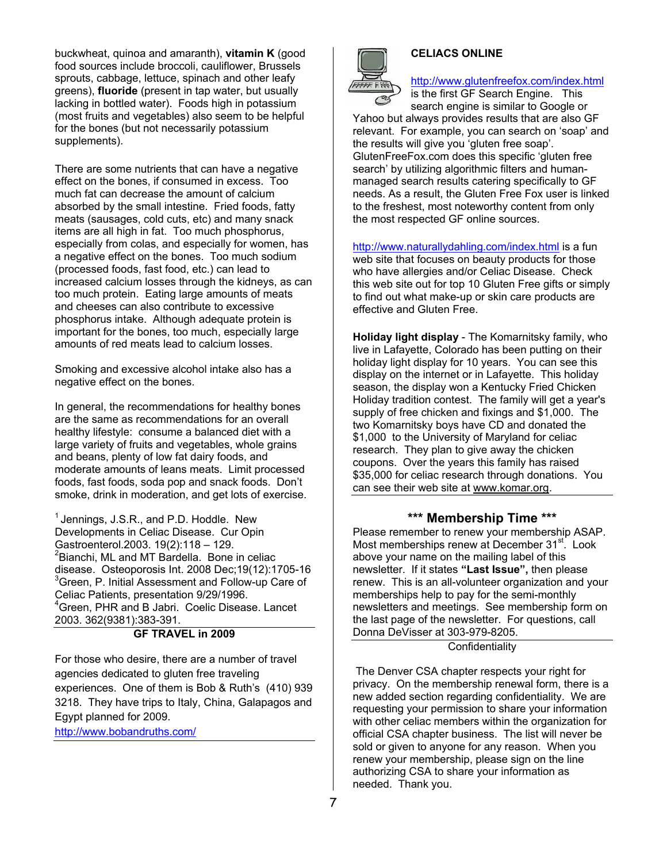buckwheat, quinoa and amaranth), **vitamin K** (good food sources include broccoli, cauliflower, Brussels sprouts, cabbage, lettuce, spinach and other leafy greens), **fluoride** (present in tap water, but usually lacking in bottled water). Foods high in potassium (most fruits and vegetables) also seem to be helpful for the bones (but not necessarily potassium supplements).

There are some nutrients that can have a negative effect on the bones, if consumed in excess. Too much fat can decrease the amount of calcium absorbed by the small intestine. Fried foods, fatty meats (sausages, cold cuts, etc) and many snack items are all high in fat. Too much phosphorus, especially from colas, and especially for women, has a negative effect on the bones. Too much sodium (processed foods, fast food, etc.) can lead to increased calcium losses through the kidneys, as can too much protein. Eating large amounts of meats and cheeses can also contribute to excessive phosphorus intake. Although adequate protein is important for the bones, too much, especially large amounts of red meats lead to calcium losses.

Smoking and excessive alcohol intake also has a negative effect on the bones.

In general, the recommendations for healthy bones are the same as recommendations for an overall healthy lifestyle: consume a balanced diet with a large variety of fruits and vegetables, whole grains and beans, plenty of low fat dairy foods, and moderate amounts of leans meats. Limit processed foods, fast foods, soda pop and snack foods. Don't smoke, drink in moderation, and get lots of exercise.

 $<sup>1</sup>$  Jennings, J.S.R., and P.D. Hoddle. New</sup> Developments in Celiac Disease. Cur Opin Gastroenterol.2003. 19(2):118 – 129. <sup>2</sup> Bianchi, ML and MT Bardella. Bone in celiac disease. Osteoporosis Int. 2008 Dec;19(12):1705-16 <sup>3</sup> Green, P. Initial Assessment and Follow-up Care of Celiac Patients, presentation 9/29/1996. 4 Green, PHR and B Jabri. Coelic Disease. Lancet 2003. 362(9381):383-391.

#### **GF TRAVEL in 2009**

For those who desire, there are a number of travel agencies dedicated to gluten free traveling experiences. One of them is Bob & Ruth's (410) 939 3218. They have trips to Italy, China, Galapagos and Egypt planned for 2009. http://www.bobandruths.com/

## **CELIACS ONLINE**

http://www.glutenfreefox.com/index.html

is the first GF Search Engine. This search engine is similar to Google or

Yahoo but always provides results that are also GF relevant. For example, you can search on 'soap' and the results will give you 'gluten free soap'. GlutenFreeFox.com does this specific 'gluten free search' by utilizing algorithmic filters and humanmanaged search results catering specifically to GF needs. As a result, the Gluten Free Fox user is linked to the freshest, most noteworthy content from only the most respected GF online sources.

http://www.naturallydahling.com/index.html is a fun web site that focuses on beauty products for those who have allergies and/or Celiac Disease. Check this web site out for top 10 Gluten Free gifts or simply to find out what make-up or skin care products are effective and Gluten Free.

**Holiday light display** - The Komarnitsky family, who live in Lafayette, Colorado has been putting on their holiday light display for 10 years. You can see this display on the internet or in Lafayette. This holiday season, the display won a Kentucky Fried Chicken Holiday tradition contest. The family will get a year's supply of free chicken and fixings and \$1,000. The two Komarnitsky boys have CD and donated the \$1,000 to the University of Maryland for celiac research. They plan to give away the chicken coupons. Over the years this family has raised \$35,000 for celiac research through donations. You can see their web site at www.komar.org.

#### **\*\*\* Membership Time \*\*\***

Please remember to renew your membership ASAP. Most memberships renew at December 31<sup>st</sup>. Look above your name on the mailing label of this newsletter. If it states **"Last Issue",** then please renew. This is an all-volunteer organization and your memberships help to pay for the semi-monthly newsletters and meetings. See membership form on the last page of the newsletter. For questions, call Donna DeVisser at 303-979-8205.

# **Confidentiality**

 The Denver CSA chapter respects your right for privacy. On the membership renewal form, there is a new added section regarding confidentiality. We are requesting your permission to share your information with other celiac members within the organization for official CSA chapter business. The list will never be sold or given to anyone for any reason. When you renew your membership, please sign on the line authorizing CSA to share your information as needed. Thank you.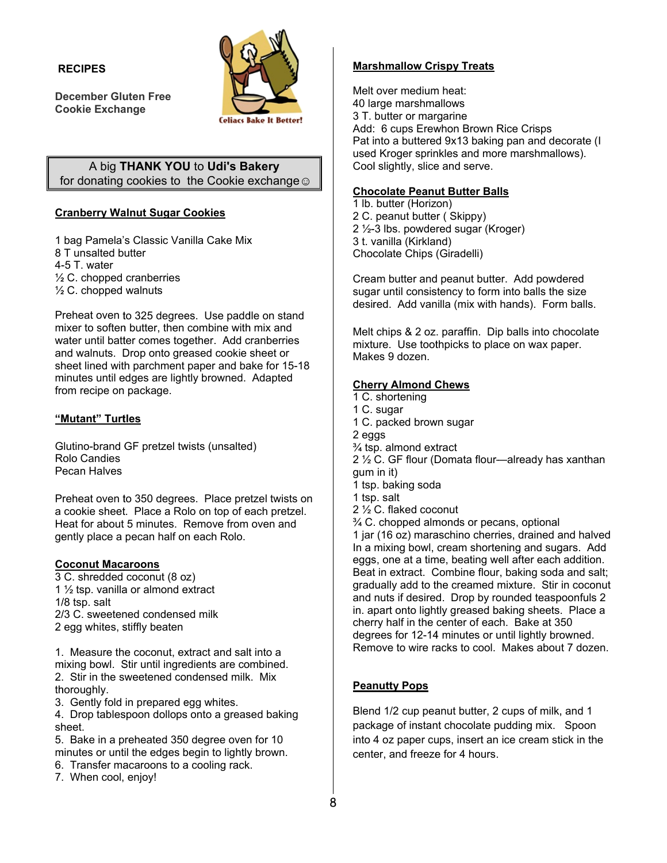#### **R RECIPES**

**December Gluten Free C ookie Excha ange** 



# for donating cookies to the Cookie exchange **☺** A big **T THANK YOU U** to **Udi's Ba akery**

# **Cranberry Walnut Sugar Cookies**

1 bag Pamela' s Classic Van nilla Cake Mix 8 T unsalted b utter 4- -5 T. water ½ ½ C. chopped cranberries ½ ½ C. chopped walnuts 1 bag Pamela's Classic Vanilla Cake Mix<br>8 T unsalted butter<br>4-5 T. water<br>1⁄2 C. chopped cranberries<br>1⁄2 C. chopped walnuts<br>Preheat oven to 325 degrees. Use paddle on stand

mixer to soften butter, then combine with mix and water until batter comes together. Add cranberries an nd walnuts. D Drop onto gre eased cookie sheet or sheet lined with parchment paper and bake for 15-18 minutes until edges are lightly browned. Adapted from recipe on package.

# **"M Mutant" Turt tles**

Glutino-brand GF pretzel twists (unsalted) R Rolo Candies P ecan Halves

Preheat oven to 350 degrees. Place pretzel twists on a cookie sheet. Place a Rolo on top of each pretzel. H eat for about 5 minutes. R Remove from oven and gently place a pecan half on each Rolo.

## **C oconut Maca aroons**

3 C. shredded coconut (8 oz z) 1  $\frac{1}{2}$  tsp. vanilla or almond extract 1/8 tsp. salt 2/3 C. sweetened condensed milk 2 egg whites, s stiffly beaten

1. Measure the coconut, extract and salt into a mixing bowl. Stir until ingredients are combined. 2. . Stir in the s weetened co ndensed milk k. Mix th horoughly.

3. . Gently fold in prepared e egg whites.

4. Drop tablespoon dollops onto a greased baking sh heet.

5. . Bake in a p reheated 350 0 degree oven n for 10 minutes or until the edges begin to lightly brown.

- 6. Transfer macaroons to a cooling rack.
- 7. When cool, enjoy!

# **shmallow Cr rispy Treats**

Melt over medium heat: 40 la arge marshma allows 3 T. butter or margarine Add: 6 cups Erewhon Brown Rice Crisps Pat into a buttered 9x13 baking pan and decorate (I used Kroger sprinkles and more marshmallows). Cool slightly, slice and serve.

# **Chocolate Peanut Butter Balls**

1 lb. butter (Horiz zon) 2 C. peanut butter (Skippy) 2 1/<sub>2</sub>-3 lbs. powdered sugar (Kroger) 3 t. v vanilla (Kirkla nd) Chocolate Chips (Giradelli)

Cream butter and peanut butter. Add powdered sugar until consistency to form into balls the size desired. Add vanilla (mix with hands). Form balls.

Melt chips & 2 oz. paraffin. Dip balls into chocolate mixture. Use toothpicks to place on wax paper. Mak es 9 dozen.

# **Che rry Almond C Chews**

Mars<br>
Melt (40 land:<br>
40 land:<br>
3 T. t dd:<br>
Pat ir used<br>
Cool<br>
Choc<br>
Choc<br>
1 lb. 1<br>
2 C. f 2 <sup>1</sup>/<sub>2</sub>:<br>
3 t. vic<br>
Choc<br>
Crean<br>
sugan<br>
desire<br>
Melt (mixtu Make<br>
<u>Chor</u><br>
T. C. if 1 C. if 1 C. if 2 egg<br>
<sup>2</sup>/<sub>4</sub>:<br>
2 f. vic<br>
Cre 1 C. shortening 1 C. sugar 1 C. packed brown sugar 2 eg gs ¾ ts p. almond ex tract 2 ½ C. GF flour (D Domata flour— —already has s xanthan gum in it) 1 tsp p. baking soda 1 tsp p. salt 1 tsp. baking soda<br>1 tsp. salt<br>2 ½ C. flaked coconut ¾ C . chopped alm monds or pec ans, optional 1 jar (16 oz) maraschino cherries, drained and halved In a mixing bowl, cream shorte ening and sug gars. Add eggs, one at a time, beating well after each addition. Beat in extract. Combine flour, baking soda and salt; gradually add to the creamed mixture. Stir in coconut and nuts if desired. Drop by rounded teaspoonfuls 2 in. apart onto lightly greased baking sheets. Place a cherry half in the center of each. Bake at 350 degrees for 12-14 minutes or until lightly browned. Remove to wire racks to cool. Makes about 7 dozen.

# **Peanutty Pops**

Blend 1/2 cup peanut butter, 2 cups of milk, and 1 package of instant chocolate pudding mix. Spoon into 4 oz paper cups, insert an ice cream stick in the center, and freeze for 4 hours.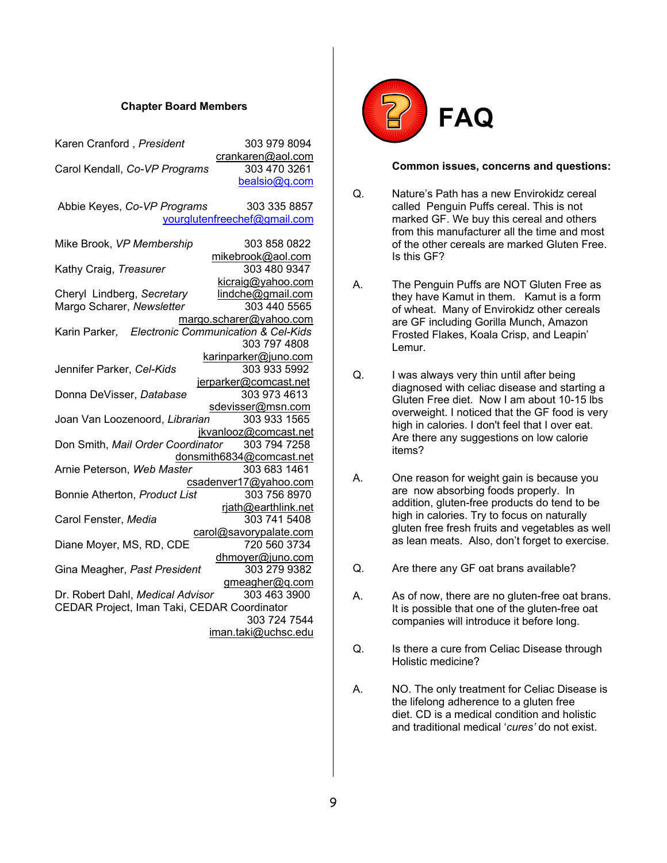#### **Chapter Board Members**

| Karen Cranford, President                         | 303 979 8094                           |
|---------------------------------------------------|----------------------------------------|
| Carol Kendall, Co-VP Programs                     | crankaren@aol.com<br>303 470 3261      |
|                                                   | bealsio@q.com                          |
| Abbie Keyes, Co-VP Programs                       | 303 335 8857                           |
|                                                   | yourglutenfreechef@gmail.com           |
| Mike Brook, VP Membership                         | 303 858 0822                           |
|                                                   | mikebrook@aol.com                      |
| Kathy Craig, Treasurer                            | 303 480 9347<br>kicraig@yahoo.com      |
| Cheryl Lindberg, Secretary                        | lindche@gmail.com                      |
| Margo Scharer, Newsletter                         | 303 440 5565                           |
|                                                   | margo.scharer@yahoo.com                |
| Karin Parker, Electronic Communication & Cel-Kids |                                        |
|                                                   | 303 797 4808                           |
|                                                   | karinparker@juno.com                   |
| Jennifer Parker, Cel-Kids                         | 303 933 5992                           |
|                                                   | jerparker@comcast.net<br>303 973 4613  |
| Donna DeVisser, Database                          | sdevisser@msn.com                      |
| Joan Van Loozenoord, Librarian                    | 303 933 1565                           |
|                                                   | jkvanlooz@comcast.net                  |
| Don Smith, Mail Order Coordinator 303 794 7258    |                                        |
|                                                   | donsmith6834@comcast.net               |
| Arnie Peterson, Web Master                        | 303 683 1461                           |
|                                                   | csadenver17@yahoo.com                  |
| Bonnie Atherton, Product List                     | 303 756 8970                           |
|                                                   | rjath@earthlink.net                    |
| Carol Fenster, Media                              | 303 741 5408                           |
|                                                   | carol@savorypalate.com<br>720 560 3734 |
| Diane Moyer, MS, RD, CDE                          |                                        |
| Gina Meagher, Past President                      | dhmoyer@juno.com<br>303 279 9382       |
|                                                   | gmeagher@q.com                         |
| Dr. Robert Dahl, Medical Advisor                  | 303 463 3900                           |
| CEDAR Project, Iman Taki, CEDAR Coordinator       |                                        |
|                                                   | 303 724 7544                           |
|                                                   | iman.taki@uchsc.edu                    |
|                                                   |                                        |



#### **Common issues, concerns and questions:**

- Q. Nature's Path has a new Envirokidz cereal called Penguin Puffs cereal. This is not marked GF. We buy this cereal and others from this manufacturer all the time and most of the other cereals are marked Gluten Free. Is this GF?
- A. The Penguin Puffs are NOT Gluten Free as they have Kamut in them. Kamut is a form of wheat. Many of Envirokidz other cereals are GF including Gorilla Munch, Amazon Frosted Flakes, Koala Crisp, and Leapin' Lemur.
- Q. I was always very thin until after being diagnosed with celiac disease and starting a Gluten Free diet. Now I am about 10-15 lbs overweight. I noticed that the GF food is very high in calories. I don't feel that I over eat. Are there any suggestions on low calorie items?
- A. One reason for weight gain is because you are now absorbing foods properly. In addition, gluten-free products do tend to be high in calories. Try to focus on naturally gluten free fresh fruits and vegetables as well as lean meats. Also, don't forget to exercise.
- Q. Are there any GF oat brans available?
- A. As of now, there are no gluten-free oat brans. It is possible that one of the gluten-free oat companies will introduce it before long.
- Q. Is there a cure from Celiac Disease through Holistic medicine?
- A. NO. The only treatment for Celiac Disease is the lifelong adherence to a gluten free diet. CD is a medical condition and holistic and traditional medical '*cures'* do not exist.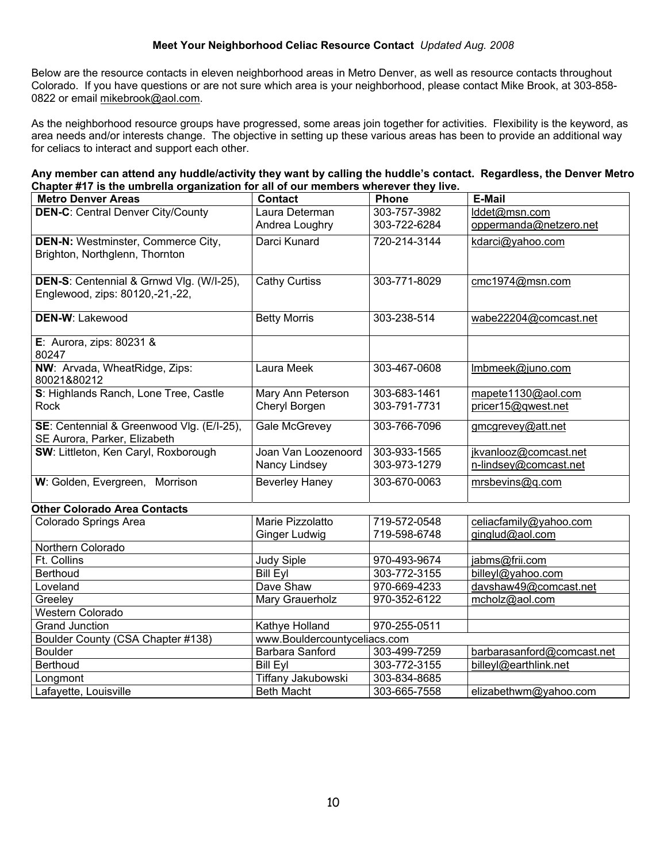## **Meet Your Neighborhood Celiac Resource Contact** *Updated Aug. 2008*

Below are the resource contacts in eleven neighborhood areas in Metro Denver, as well as resource contacts throughout Colorado. If you have questions or are not sure which area is your neighborhood, please contact Mike Brook, at 303-858- 0822 or email mikebrook@aol.com.

As the neighborhood resource groups have progressed, some areas join together for activities. Flexibility is the keyword, as area needs and/or interests change. The objective in setting up these various areas has been to provide an additional way for celiacs to interact and support each other.

| Any member can attend any huddle/activity they want by calling the huddle's contact. Regardless, the Denver Metro |  |
|-------------------------------------------------------------------------------------------------------------------|--|
| Chapter #17 is the umbrella organization for all of our members wherever they live.                               |  |

| <b>Metro Denver Areas</b>                 | <b>Contact</b>               | <b>Phone</b> | <b>E-Mail</b>              |  |
|-------------------------------------------|------------------------------|--------------|----------------------------|--|
| <b>DEN-C: Central Denver City/County</b>  | Laura Determan               | 303-757-3982 | lddet@msn.com              |  |
|                                           | Andrea Loughry               | 303-722-6284 | oppermanda@netzero.net     |  |
| <b>DEN-N: Westminster, Commerce City,</b> | Darci Kunard                 | 720-214-3144 | kdarci@yahoo.com           |  |
| Brighton, Northglenn, Thornton            |                              |              |                            |  |
|                                           |                              |              |                            |  |
| DEN-S: Centennial & Grnwd Vlg. (W/I-25),  | <b>Cathy Curtiss</b>         | 303-771-8029 | cmc1974@msn.com            |  |
| Englewood, zips: 80120,-21,-22,           |                              |              |                            |  |
| <b>DEN-W: Lakewood</b>                    | <b>Betty Morris</b>          | 303-238-514  | wabe22204@comcast.net      |  |
|                                           |                              |              |                            |  |
| E: Aurora, zips: $80231$ &                |                              |              |                            |  |
| 80247                                     |                              |              |                            |  |
| NW: Arvada, WheatRidge, Zips:             | Laura Meek                   | 303-467-0608 | Imbmeek@juno.com           |  |
| 80021&80212                               |                              |              |                            |  |
| S: Highlands Ranch, Lone Tree, Castle     | Mary Ann Peterson            | 303-683-1461 | mapete1130@aol.com         |  |
| Rock                                      | Cheryl Borgen                | 303-791-7731 | pricer15@qwest.net         |  |
| SE: Centennial & Greenwood Vlg. (E/I-25), | <b>Gale McGrevey</b>         | 303-766-7096 | gmcgrevey@att.net          |  |
| SE Aurora, Parker, Elizabeth              |                              |              |                            |  |
| SW: Littleton, Ken Caryl, Roxborough      | Joan Van Loozenoord          | 303-933-1565 | jkvanlooz@comcast.net      |  |
|                                           | Nancy Lindsey                | 303-973-1279 | n-lindsey@comcast.net      |  |
| W: Golden, Evergreen, Morrison            | <b>Beverley Haney</b>        | 303-670-0063 | mrsbevins@q.com            |  |
|                                           |                              |              |                            |  |
| <b>Other Colorado Area Contacts</b>       |                              |              |                            |  |
| <b>Colorado Springs Area</b>              | Marie Pizzolatto             | 719-572-0548 | celiacfamily@yahoo.com     |  |
|                                           | Ginger Ludwig                | 719-598-6748 | ginglud@aol.com            |  |
| Northern Colorado                         |                              |              |                            |  |
| Ft. Collins                               | <b>Judy Siple</b>            | 970-493-9674 | jabms@frii.com             |  |
| <b>Berthoud</b>                           | <b>Bill Eyl</b>              | 303-772-3155 | billeyl@yahoo.com          |  |
| Loveland                                  | Dave Shaw                    | 970-669-4233 | davshaw49@comcast.net      |  |
| Greeley                                   | Mary Grauerholz              | 970-352-6122 | mcholz@aol.com             |  |
| <b>Western Colorado</b>                   |                              |              |                            |  |
| <b>Grand Junction</b>                     | Kathye Holland               | 970-255-0511 |                            |  |
| Boulder County (CSA Chapter #138)         | www.Bouldercountyceliacs.com |              |                            |  |
| <b>Boulder</b>                            | Barbara Sanford              | 303-499-7259 | barbarasanford@comcast.net |  |
| Berthoud                                  | <b>Bill Eyl</b>              | 303-772-3155 | billeyl@earthlink.net      |  |
| Longmont                                  | Tiffany Jakubowski           | 303-834-8685 |                            |  |
| Lafayette, Louisville                     | <b>Beth Macht</b>            | 303-665-7558 | elizabethwm@yahoo.com      |  |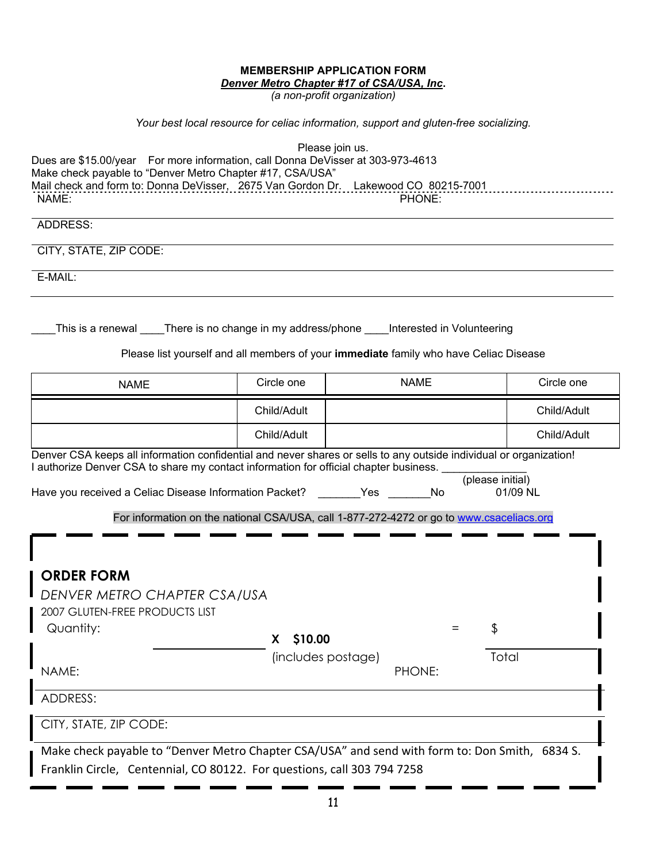#### **MEMBERSHIP APPLICATION FORM**  *Denver Metro Chapter #17 of CSA/USA, Inc***.**

*(a non-profit organization)*

# *Your best local resource for celiac information, support and gluten-free socializing.*

| Dues are \$15.00/year For more information, call Donna DeVisser at 303-973-4613<br>Make check payable to "Denver Metro Chapter #17, CSA/USA"<br>Mail check and form to: Donna DeVisser, 2675 Van Gordon Dr. Lakewood CO 80215-7001<br>NAME:<br><b>ADDRESS:</b><br>CITY, STATE, ZIP CODE:<br>E-MAIL:<br>This is a renewal _____There is no change in my address/phone _____Interested in Volunteering |                                     | Please join us.<br>PHONE:                                                                                                 |             |
|------------------------------------------------------------------------------------------------------------------------------------------------------------------------------------------------------------------------------------------------------------------------------------------------------------------------------------------------------------------------------------------------------|-------------------------------------|---------------------------------------------------------------------------------------------------------------------------|-------------|
|                                                                                                                                                                                                                                                                                                                                                                                                      |                                     | Please list yourself and all members of your immediate family who have Celiac Disease                                     |             |
| <b>NAME</b>                                                                                                                                                                                                                                                                                                                                                                                          | Circle one                          | <b>NAME</b>                                                                                                               | Circle one  |
|                                                                                                                                                                                                                                                                                                                                                                                                      | Child/Adult                         |                                                                                                                           | Child/Adult |
|                                                                                                                                                                                                                                                                                                                                                                                                      | Child/Adult                         |                                                                                                                           | Child/Adult |
| I authorize Denver CSA to share my contact information for official chapter business.<br>Have you received a Celiac Disease Information Packet?                                                                                                                                                                                                                                                      |                                     | (please initial)<br>Yes<br>No<br>For information on the national CSA/USA, call 1-877-272-4272 or go to www.csaceliacs.org | 01/09 NL    |
| <b>ORDER FORM</b><br>DENVER METRO CHAPTER CSA/USA<br>2007 GLUTEN-FREE PRODUCTS LIST<br>Quantity:<br>NAME:                                                                                                                                                                                                                                                                                            | \$10.00<br>X.<br>(includes postage) | Φ<br>PHONE:                                                                                                               | Total       |
| ADDRESS:<br>CITY, STATE, ZIP CODE:<br>Make check payable to "Denver Metro Chapter CSA/USA" and send with form to: Don Smith, 6834 S.                                                                                                                                                                                                                                                                 |                                     |                                                                                                                           |             |
| Franklin Circle, Centennial, CO 80122. For questions, call 303 794 7258                                                                                                                                                                                                                                                                                                                              |                                     |                                                                                                                           |             |